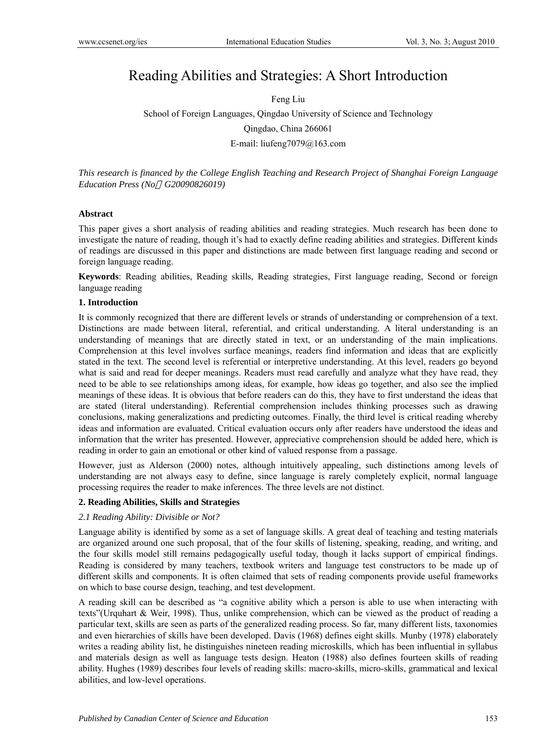# Reading Abilities and Strategies: A Short Introduction

Feng Liu

School of Foreign Languages, Qingdao University of Science and Technology

Qingdao, China 266061

E-mail: liufeng7079@163.com

*This research is financed by the College English Teaching and Research Project of Shanghai Foreign Language Education Press (No G20090826019)* 

## **Abstract**

This paper gives a short analysis of reading abilities and reading strategies. Much research has been done to investigate the nature of reading, though it's had to exactly define reading abilities and strategies. Different kinds of readings are discussed in this paper and distinctions are made between first language reading and second or foreign language reading.

**Keywords**: Reading abilities, Reading skills, Reading strategies, First language reading, Second or foreign language reading

## **1. Introduction**

It is commonly recognized that there are different levels or strands of understanding or comprehension of a text. Distinctions are made between literal, referential, and critical understanding. A literal understanding is an understanding of meanings that are directly stated in text, or an understanding of the main implications. Comprehension at this level involves surface meanings, readers find information and ideas that are explicitly stated in the text. The second level is referential or interpretive understanding. At this level, readers go beyond what is said and read for deeper meanings. Readers must read carefully and analyze what they have read, they need to be able to see relationships among ideas, for example, how ideas go together, and also see the implied meanings of these ideas. It is obvious that before readers can do this, they have to first understand the ideas that are stated (literal understanding). Referential comprehension includes thinking processes such as drawing conclusions, making generalizations and predicting outcomes. Finally, the third level is critical reading whereby ideas and information are evaluated. Critical evaluation occurs only after readers have understood the ideas and information that the writer has presented. However, appreciative comprehension should be added here, which is reading in order to gain an emotional or other kind of valued response from a passage.

However, just as Alderson (2000) notes, although intuitively appealing, such distinctions among levels of understanding are not always easy to define, since language is rarely completely explicit, normal language processing requires the reader to make inferences. The three levels are not distinct.

#### **2. Reading Abilities, Skills and Strategies**

#### *2.1 Reading Ability: Divisible or Not?*

Language ability is identified by some as a set of language skills. A great deal of teaching and testing materials are organized around one such proposal, that of the four skills of listening, speaking, reading, and writing, and the four skills model still remains pedagogically useful today, though it lacks support of empirical findings. Reading is considered by many teachers, textbook writers and language test constructors to be made up of different skills and components. It is often claimed that sets of reading components provide useful frameworks on which to base course design, teaching, and test development.

A reading skill can be described as "a cognitive ability which a person is able to use when interacting with texts"(Urquhart & Weir, 1998). Thus, unlike comprehension, which can be viewed as the product of reading a particular text, skills are seen as parts of the generalized reading process. So far, many different lists, taxonomies and even hierarchies of skills have been developed. Davis (1968) defines eight skills. Munby (1978) elaborately writes a reading ability list, he distinguishes nineteen reading microskills, which has been influential in syllabus and materials design as well as language tests design. Heaton (1988) also defines fourteen skills of reading ability. Hughes (1989) describes four levels of reading skills: macro-skills, micro-skills, grammatical and lexical abilities, and low-level operations.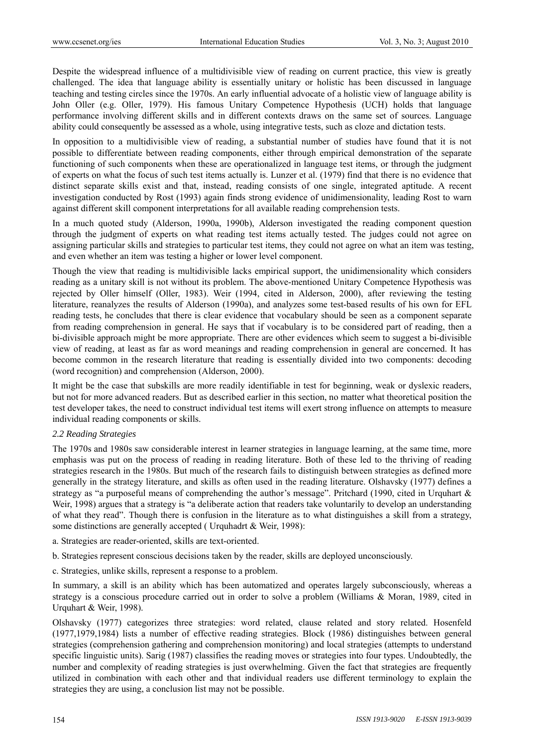Despite the widespread influence of a multidivisible view of reading on current practice, this view is greatly challenged. The idea that language ability is essentially unitary or holistic has been discussed in language teaching and testing circles since the 1970s. An early influential advocate of a holistic view of language ability is John Oller (e.g. Oller, 1979). His famous Unitary Competence Hypothesis (UCH) holds that language performance involving different skills and in different contexts draws on the same set of sources. Language ability could consequently be assessed as a whole, using integrative tests, such as cloze and dictation tests.

In opposition to a multidivisible view of reading, a substantial number of studies have found that it is not possible to differentiate between reading components, either through empirical demonstration of the separate functioning of such components when these are operationalized in language test items, or through the judgment of experts on what the focus of such test items actually is. Lunzer et al. (1979) find that there is no evidence that distinct separate skills exist and that, instead, reading consists of one single, integrated aptitude. A recent investigation conducted by Rost (1993) again finds strong evidence of unidimensionality, leading Rost to warn against different skill component interpretations for all available reading comprehension tests.

In a much quoted study (Alderson, 1990a, 1990b), Alderson investigated the reading component question through the judgment of experts on what reading test items actually tested. The judges could not agree on assigning particular skills and strategies to particular test items, they could not agree on what an item was testing, and even whether an item was testing a higher or lower level component.

Though the view that reading is multidivisible lacks empirical support, the unidimensionality which considers reading as a unitary skill is not without its problem. The above-mentioned Unitary Competence Hypothesis was rejected by Oller himself (Oller, 1983). Weir (1994, cited in Alderson, 2000), after reviewing the testing literature, reanalyzes the results of Alderson (1990a), and analyzes some test-based results of his own for EFL reading tests, he concludes that there is clear evidence that vocabulary should be seen as a component separate from reading comprehension in general. He says that if vocabulary is to be considered part of reading, then a bi-divisible approach might be more appropriate. There are other evidences which seem to suggest a bi-divisible view of reading, at least as far as word meanings and reading comprehension in general are concerned. It has become common in the research literature that reading is essentially divided into two components: decoding (word recognition) and comprehension (Alderson, 2000).

It might be the case that subskills are more readily identifiable in test for beginning, weak or dyslexic readers, but not for more advanced readers. But as described earlier in this section, no matter what theoretical position the test developer takes, the need to construct individual test items will exert strong influence on attempts to measure individual reading components or skills.

#### *2.2 Reading Strategies*

The 1970s and 1980s saw considerable interest in learner strategies in language learning, at the same time, more emphasis was put on the process of reading in reading literature. Both of these led to the thriving of reading strategies research in the 1980s. But much of the research fails to distinguish between strategies as defined more generally in the strategy literature, and skills as often used in the reading literature. Olshavsky (1977) defines a strategy as "a purposeful means of comprehending the author's message". Pritchard (1990, cited in Urquhart & Weir, 1998) argues that a strategy is "a deliberate action that readers take voluntarily to develop an understanding of what they read". Though there is confusion in the literature as to what distinguishes a skill from a strategy, some distinctions are generally accepted (Urquhadrt & Weir, 1998):

- a. Strategies are reader-oriented, skills are text-oriented.
- b. Strategies represent conscious decisions taken by the reader, skills are deployed unconsciously.
- c. Strategies, unlike skills, represent a response to a problem.

In summary, a skill is an ability which has been automatized and operates largely subconsciously, whereas a strategy is a conscious procedure carried out in order to solve a problem (Williams & Moran, 1989, cited in Urquhart & Weir, 1998).

Olshavsky (1977) categorizes three strategies: word related, clause related and story related. Hosenfeld (1977,1979,1984) lists a number of effective reading strategies. Block (1986) distinguishes between general strategies (comprehension gathering and comprehension monitoring) and local strategies (attempts to understand specific linguistic units). Sarig (1987) classifies the reading moves or strategies into four types. Undoubtedly, the number and complexity of reading strategies is just overwhelming. Given the fact that strategies are frequently utilized in combination with each other and that individual readers use different terminology to explain the strategies they are using, a conclusion list may not be possible.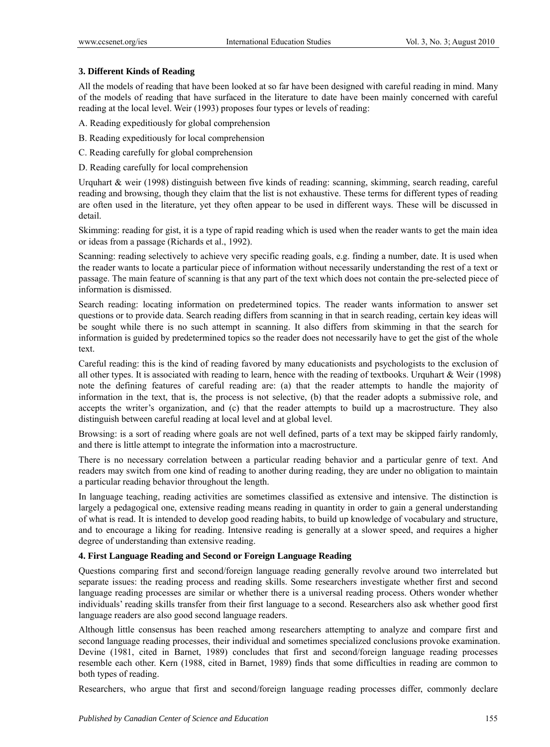#### **3. Different Kinds of Reading**

All the models of reading that have been looked at so far have been designed with careful reading in mind. Many of the models of reading that have surfaced in the literature to date have been mainly concerned with careful reading at the local level. Weir (1993) proposes four types or levels of reading:

A. Reading expeditiously for global comprehension

- B. Reading expeditiously for local comprehension
- C. Reading carefully for global comprehension
- D. Reading carefully for local comprehension

Urquhart & weir (1998) distinguish between five kinds of reading: scanning, skimming, search reading, careful reading and browsing, though they claim that the list is not exhaustive. These terms for different types of reading are often used in the literature, yet they often appear to be used in different ways. These will be discussed in detail.

Skimming: reading for gist, it is a type of rapid reading which is used when the reader wants to get the main idea or ideas from a passage (Richards et al., 1992).

Scanning: reading selectively to achieve very specific reading goals, e.g. finding a number, date. It is used when the reader wants to locate a particular piece of information without necessarily understanding the rest of a text or passage. The main feature of scanning is that any part of the text which does not contain the pre-selected piece of information is dismissed.

Search reading: locating information on predetermined topics. The reader wants information to answer set questions or to provide data. Search reading differs from scanning in that in search reading, certain key ideas will be sought while there is no such attempt in scanning. It also differs from skimming in that the search for information is guided by predetermined topics so the reader does not necessarily have to get the gist of the whole text.

Careful reading: this is the kind of reading favored by many educationists and psychologists to the exclusion of all other types. It is associated with reading to learn, hence with the reading of textbooks. Urquhart  $&$  Weir (1998) note the defining features of careful reading are: (a) that the reader attempts to handle the majority of information in the text, that is, the process is not selective, (b) that the reader adopts a submissive role, and accepts the writer's organization, and (c) that the reader attempts to build up a macrostructure. They also distinguish between careful reading at local level and at global level.

Browsing: is a sort of reading where goals are not well defined, parts of a text may be skipped fairly randomly, and there is little attempt to integrate the information into a macrostructure.

There is no necessary correlation between a particular reading behavior and a particular genre of text. And readers may switch from one kind of reading to another during reading, they are under no obligation to maintain a particular reading behavior throughout the length.

In language teaching, reading activities are sometimes classified as extensive and intensive. The distinction is largely a pedagogical one, extensive reading means reading in quantity in order to gain a general understanding of what is read. It is intended to develop good reading habits, to build up knowledge of vocabulary and structure, and to encourage a liking for reading. Intensive reading is generally at a slower speed, and requires a higher degree of understanding than extensive reading.

### **4. First Language Reading and Second or Foreign Language Reading**

Questions comparing first and second/foreign language reading generally revolve around two interrelated but separate issues: the reading process and reading skills. Some researchers investigate whether first and second language reading processes are similar or whether there is a universal reading process. Others wonder whether individuals' reading skills transfer from their first language to a second. Researchers also ask whether good first language readers are also good second language readers.

Although little consensus has been reached among researchers attempting to analyze and compare first and second language reading processes, their individual and sometimes specialized conclusions provoke examination. Devine (1981, cited in Barnet, 1989) concludes that first and second/foreign language reading processes resemble each other. Kern (1988, cited in Barnet, 1989) finds that some difficulties in reading are common to both types of reading.

Researchers, who argue that first and second/foreign language reading processes differ, commonly declare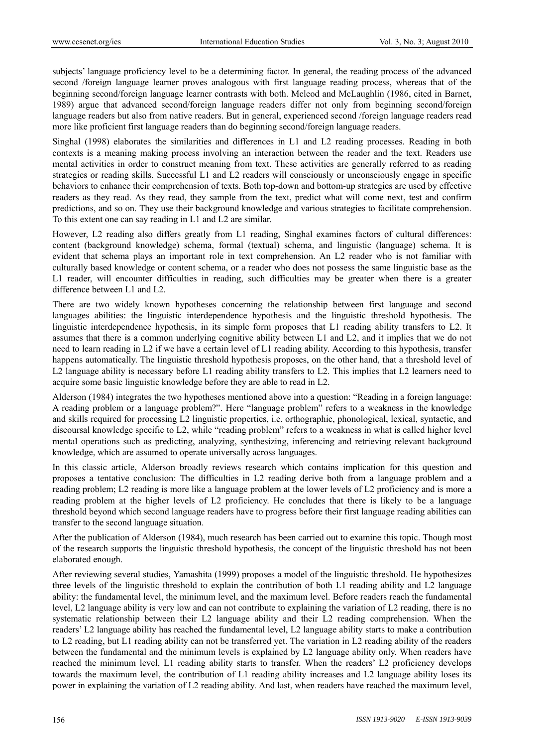subjects' language proficiency level to be a determining factor. In general, the reading process of the advanced second /foreign language learner proves analogous with first language reading process, whereas that of the beginning second/foreign language learner contrasts with both. Mcleod and McLaughlin (1986, cited in Barnet, 1989) argue that advanced second/foreign language readers differ not only from beginning second/foreign language readers but also from native readers. But in general, experienced second /foreign language readers read more like proficient first language readers than do beginning second/foreign language readers.

Singhal (1998) elaborates the similarities and differences in L1 and L2 reading processes. Reading in both contexts is a meaning making process involving an interaction between the reader and the text. Readers use mental activities in order to construct meaning from text. These activities are generally referred to as reading strategies or reading skills. Successful L1 and L2 readers will consciously or unconsciously engage in specific behaviors to enhance their comprehension of texts. Both top-down and bottom-up strategies are used by effective readers as they read. As they read, they sample from the text, predict what will come next, test and confirm predictions, and so on. They use their background knowledge and various strategies to facilitate comprehension. To this extent one can say reading in L1 and L2 are similar.

However, L2 reading also differs greatly from L1 reading, Singhal examines factors of cultural differences: content (background knowledge) schema, formal (textual) schema, and linguistic (language) schema. It is evident that schema plays an important role in text comprehension. An L2 reader who is not familiar with culturally based knowledge or content schema, or a reader who does not possess the same linguistic base as the L1 reader, will encounter difficulties in reading, such difficulties may be greater when there is a greater difference between L1 and L2.

There are two widely known hypotheses concerning the relationship between first language and second languages abilities: the linguistic interdependence hypothesis and the linguistic threshold hypothesis. The linguistic interdependence hypothesis, in its simple form proposes that L1 reading ability transfers to L2. It assumes that there is a common underlying cognitive ability between L1 and L2, and it implies that we do not need to learn reading in L2 if we have a certain level of L1 reading ability. According to this hypothesis, transfer happens automatically. The linguistic threshold hypothesis proposes, on the other hand, that a threshold level of L2 language ability is necessary before L1 reading ability transfers to L2. This implies that L2 learners need to acquire some basic linguistic knowledge before they are able to read in L2.

Alderson (1984) integrates the two hypotheses mentioned above into a question: "Reading in a foreign language: A reading problem or a language problem?". Here "language problem" refers to a weakness in the knowledge and skills required for processing L2 linguistic properties, i.e. orthographic, phonological, lexical, syntactic, and discoursal knowledge specific to L2, while "reading problem" refers to a weakness in what is called higher level mental operations such as predicting, analyzing, synthesizing, inferencing and retrieving relevant background knowledge, which are assumed to operate universally across languages.

In this classic article, Alderson broadly reviews research which contains implication for this question and proposes a tentative conclusion: The difficulties in L2 reading derive both from a language problem and a reading problem; L2 reading is more like a language problem at the lower levels of L2 proficiency and is more a reading problem at the higher levels of L2 proficiency. He concludes that there is likely to be a language threshold beyond which second language readers have to progress before their first language reading abilities can transfer to the second language situation.

After the publication of Alderson (1984), much research has been carried out to examine this topic. Though most of the research supports the linguistic threshold hypothesis, the concept of the linguistic threshold has not been elaborated enough.

After reviewing several studies, Yamashita (1999) proposes a model of the linguistic threshold. He hypothesizes three levels of the linguistic threshold to explain the contribution of both L1 reading ability and L2 language ability: the fundamental level, the minimum level, and the maximum level. Before readers reach the fundamental level, L2 language ability is very low and can not contribute to explaining the variation of L2 reading, there is no systematic relationship between their L2 language ability and their L2 reading comprehension. When the readers' L2 language ability has reached the fundamental level, L2 language ability starts to make a contribution to L2 reading, but L1 reading ability can not be transferred yet. The variation in L2 reading ability of the readers between the fundamental and the minimum levels is explained by L2 language ability only. When readers have reached the minimum level, L1 reading ability starts to transfer. When the readers' L2 proficiency develops towards the maximum level, the contribution of L1 reading ability increases and L2 language ability loses its power in explaining the variation of L2 reading ability. And last, when readers have reached the maximum level,